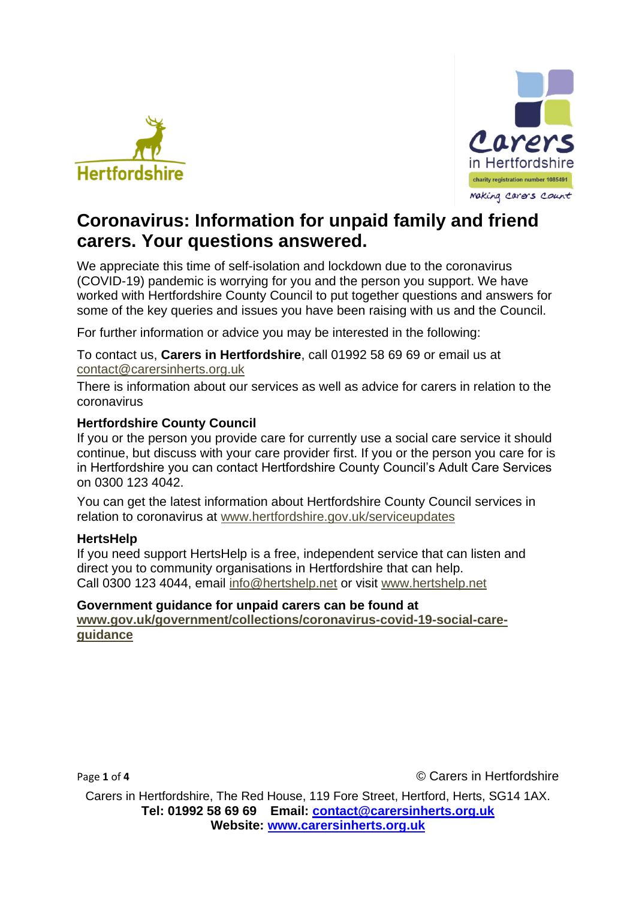



# **Coronavirus: Information for unpaid family and friend carers. Your questions answered.**

We appreciate this time of self-isolation and lockdown due to the coronavirus (COVID-19) pandemic is worrying for you and the person you support. We have worked with Hertfordshire County Council to put together questions and answers for some of the key queries and issues you have been raising with us and the Council.

For further information or advice you may be interested in the following:

To contact us, **Carers in Hertfordshire**, call 01992 58 69 69 or email us at [contact@carersinherts.org.uk](mailto:contact@carersinherts.org.uk)

There is information about our services as well as advice for carers in relation to the coronavirus

## **Hertfordshire County Council**

If you or the person you provide care for currently use a social care service it should continue, but discuss with your care provider first. If you or the person you care for is in Hertfordshire you can contact Hertfordshire County Council's Adult Care Services on 0300 123 4042.

You can get the latest information about Hertfordshire County Council services in relation to coronavirus at [www.hertfordshire.gov.uk/serviceupdates](http://www.hertfordshire.gov.uk/serviceupdates)

#### **HertsHelp**

If you need support HertsHelp is a free, independent service that can listen and direct you to community organisations in Hertfordshire that can help. Call 0300 123 4044, email [info@hertshelp.net](mailto:info@hertshelp.net) or visit [www.hertshelp.net](http://www.hertshelp.net/)

#### **Government guidance for unpaid carers can be found at**

**[www.gov.uk/government/collections/coronavirus-covid-19-social-care](http://www.gov.uk/government/collections/coronavirus-covid-19-social-care-guidance)[guidance](http://www.gov.uk/government/collections/coronavirus-covid-19-social-care-guidance)**

Page 1 of 4 **Carella C** Carers in Hertfordshire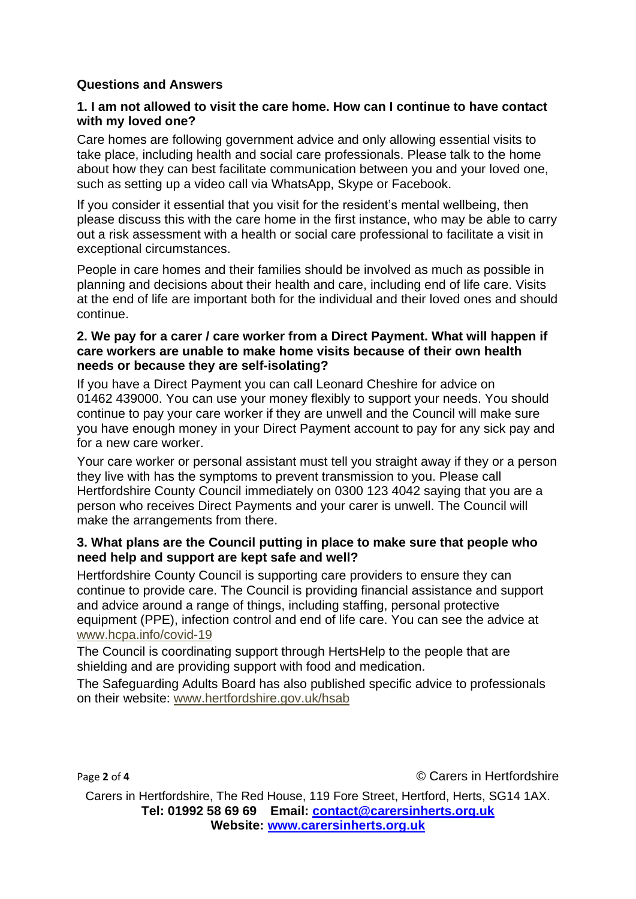## **Questions and Answers**

#### **1. I am not allowed to visit the care home. How can I continue to have contact with my loved one?**

Care homes are following government advice and only allowing essential visits to take place, including health and social care professionals. Please talk to the home about how they can best facilitate communication between you and your loved one, such as setting up a video call via WhatsApp, Skype or Facebook.

If you consider it essential that you visit for the resident's mental wellbeing, then please discuss this with the care home in the first instance, who may be able to carry out a risk assessment with a health or social care professional to facilitate a visit in exceptional circumstances.

People in care homes and their families should be involved as much as possible in planning and decisions about their health and care, including end of life care. Visits at the end of life are important both for the individual and their loved ones and should continue.

#### **2. We pay for a carer / care worker from a Direct Payment. What will happen if care workers are unable to make home visits because of their own health needs or because they are self-isolating?**

If you have a Direct Payment you can call Leonard Cheshire for advice on 01462 439000. You can use your money flexibly to support your needs. You should continue to pay your care worker if they are unwell and the Council will make sure you have enough money in your Direct Payment account to pay for any sick pay and for a new care worker.

Your care worker or personal assistant must tell you straight away if they or a person they live with has the symptoms to prevent transmission to you. Please call Hertfordshire County Council immediately on 0300 123 4042 saying that you are a person who receives Direct Payments and your carer is unwell. The Council will make the arrangements from there.

#### **3. What plans are the Council putting in place to make sure that people who need help and support are kept safe and well?**

Hertfordshire County Council is supporting care providers to ensure they can continue to provide care. The Council is providing financial assistance and support and advice around a range of things, including staffing, personal protective equipment (PPE), infection control and end of life care. You can see the advice at [www.hcpa.info/covid-19](http://www.hcpa.info/covid-19)

The Council is coordinating support through HertsHelp to the people that are shielding and are providing support with food and medication.

The Safeguarding Adults Board has also published specific advice to professionals on their website: [www.hertfordshire.gov.uk/hsab](http://www.hertfordshire.gov.uk/hsab)

Page 2 of 4 **Carella 2** of 4 **Carella 2** of 4 **Carella C** Carella **C** Carella **C** Carella **C** Carella **C** Carella **C** Carella **C** Carella **C** Carella **C** Carella **C** Carella **C** Carella **C** Carella **C** Carella **C**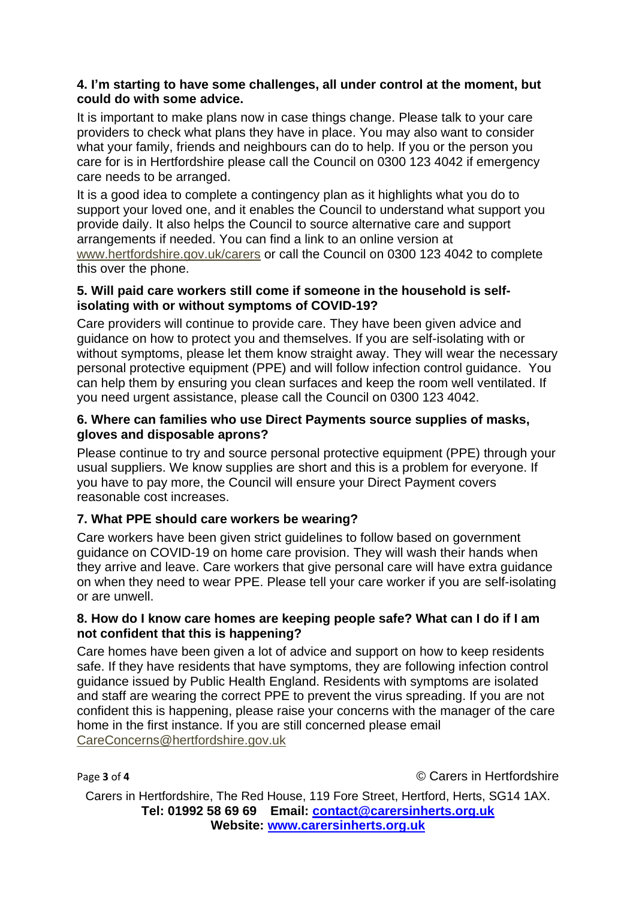#### **4. I'm starting to have some challenges, all under control at the moment, but could do with some advice.**

It is important to make plans now in case things change. Please talk to your care providers to check what plans they have in place. You may also want to consider what your family, friends and neighbours can do to help. If you or the person you care for is in Hertfordshire please call the Council on 0300 123 4042 if emergency care needs to be arranged.

It is a good idea to complete a contingency plan as it highlights what you do to support your loved one, and it enables the Council to understand what support you provide daily. It also helps the Council to source alternative care and support arrangements if needed. You can find a link to an online version at [www.hertfordshire.gov.uk/carers](http://www.hertfordshire.gov.uk/carers) or call the Council on 0300 123 4042 to complete this over the phone.

## **5. Will paid care workers still come if someone in the household is selfisolating with or without symptoms of COVID-19?**

Care providers will continue to provide care. They have been given advice and guidance on how to protect you and themselves. If you are self-isolating with or without symptoms, please let them know straight away. They will wear the necessary personal protective equipment (PPE) and will follow infection control guidance. You can help them by ensuring you clean surfaces and keep the room well ventilated. If you need urgent assistance, please call the Council on 0300 123 4042.

# **6. Where can families who use Direct Payments source supplies of masks, gloves and disposable aprons?**

Please continue to try and source personal protective equipment (PPE) through your usual suppliers. We know supplies are short and this is a problem for everyone. If you have to pay more, the Council will ensure your Direct Payment covers reasonable cost increases.

# **7. What PPE should care workers be wearing?**

Care workers have been given strict guidelines to follow based on government guidance on COVID-19 on home care provision. They will wash their hands when they arrive and leave. Care workers that give personal care will have extra guidance on when they need to wear PPE. Please tell your care worker if you are self-isolating or are unwell.

## **8. How do I know care homes are keeping people safe? What can I do if I am not confident that this is happening?**

Care homes have been given a lot of advice and support on how to keep residents safe. If they have residents that have symptoms, they are following infection control guidance issued by Public Health England. Residents with symptoms are isolated and staff are wearing the correct PPE to prevent the virus spreading. If you are not confident this is happening, please raise your concerns with the manager of the care home in the first instance. If you are still concerned please email [CareConcerns@hertfordshire.gov.uk](mailto:CareConcerns@hertfordshire.gov.uk)

Page 3 of 4 **Carella C** Carers in Hertfordshire